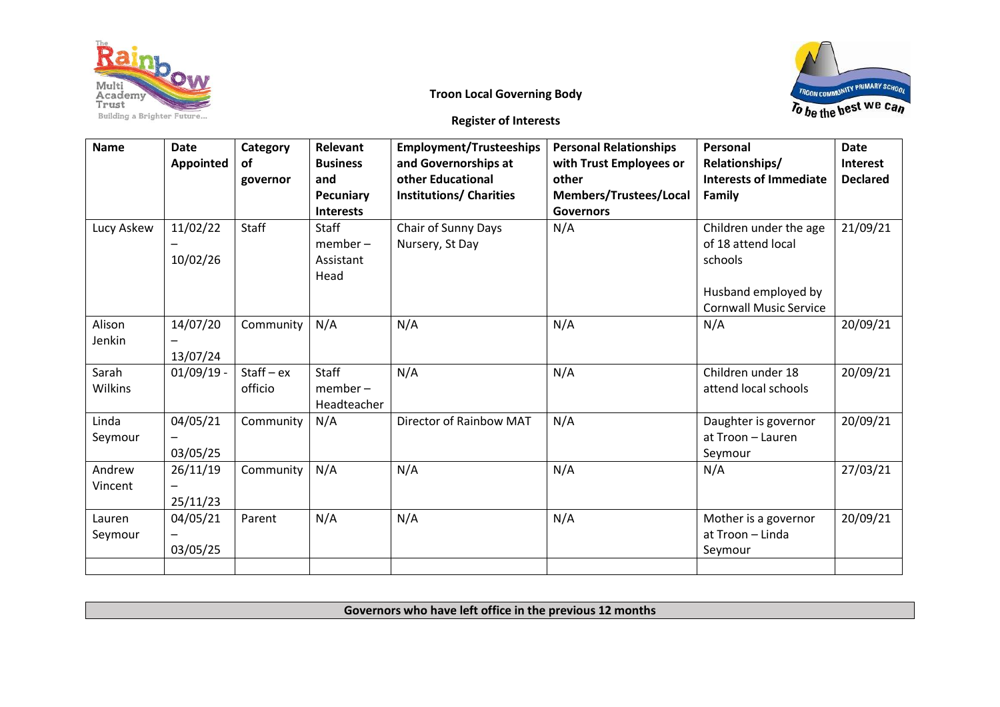

## **Troon Local Governing Body**



**Register of Interests**

| <b>Name</b>       | <b>Date</b><br><b>Appointed</b> | Category<br>of<br>governor | Relevant<br><b>Business</b><br>and<br>Pecuniary<br><b>Interests</b> | <b>Employment/Trusteeships</b><br>and Governorships at<br>other Educational<br><b>Institutions/ Charities</b> | <b>Personal Relationships</b><br>with Trust Employees or<br>other<br>Members/Trustees/Local<br><b>Governors</b> | Personal<br>Relationships/<br><b>Interests of Immediate</b><br>Family                                           | <b>Date</b><br>Interest<br><b>Declared</b> |
|-------------------|---------------------------------|----------------------------|---------------------------------------------------------------------|---------------------------------------------------------------------------------------------------------------|-----------------------------------------------------------------------------------------------------------------|-----------------------------------------------------------------------------------------------------------------|--------------------------------------------|
| Lucy Askew        | 11/02/22<br>10/02/26            | Staff                      | Staff<br>$member -$<br>Assistant<br>Head                            | Chair of Sunny Days<br>Nursery, St Day                                                                        | N/A                                                                                                             | Children under the age<br>of 18 attend local<br>schools<br>Husband employed by<br><b>Cornwall Music Service</b> | 21/09/21                                   |
| Alison<br>Jenkin  | 14/07/20<br>13/07/24            | Community                  | N/A                                                                 | N/A                                                                                                           | N/A                                                                                                             | N/A                                                                                                             | 20/09/21                                   |
| Sarah<br>Wilkins  | $01/09/19$ -                    | $Start - ex$<br>officio    | Staff<br>$member -$<br>Headteacher                                  | N/A                                                                                                           | N/A                                                                                                             | Children under 18<br>attend local schools                                                                       | 20/09/21                                   |
| Linda<br>Seymour  | 04/05/21<br>03/05/25            | Community                  | N/A                                                                 | Director of Rainbow MAT                                                                                       | N/A                                                                                                             | Daughter is governor<br>at Troon - Lauren<br>Seymour                                                            | 20/09/21                                   |
| Andrew<br>Vincent | 26/11/19<br>25/11/23            | Community                  | N/A                                                                 | N/A                                                                                                           | N/A                                                                                                             | N/A                                                                                                             | 27/03/21                                   |
| Lauren<br>Seymour | 04/05/21<br>03/05/25            | Parent                     | N/A                                                                 | N/A                                                                                                           | N/A                                                                                                             | Mother is a governor<br>at Troon - Linda<br>Seymour                                                             | 20/09/21                                   |
|                   |                                 |                            |                                                                     |                                                                                                               |                                                                                                                 |                                                                                                                 |                                            |

**Governors who have left office in the previous 12 months**